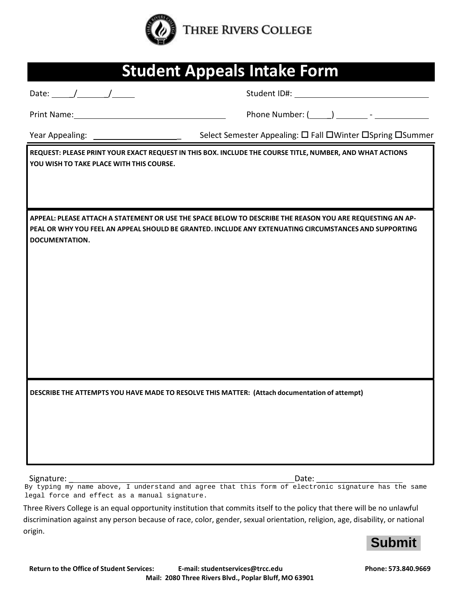

| <b>Student Appeals Intake Form</b>                                                                                                                                                                                                                                                                                                                                                                                       |                                                                                                                                                                                                                     |  |  |  |  |
|--------------------------------------------------------------------------------------------------------------------------------------------------------------------------------------------------------------------------------------------------------------------------------------------------------------------------------------------------------------------------------------------------------------------------|---------------------------------------------------------------------------------------------------------------------------------------------------------------------------------------------------------------------|--|--|--|--|
| Date: $\frac{1}{\sqrt{1-\frac{1}{2}}}\frac{1}{\sqrt{1-\frac{1}{2}}}\frac{1}{\sqrt{1-\frac{1}{2}}}\frac{1}{\sqrt{1-\frac{1}{2}}}\frac{1}{\sqrt{1-\frac{1}{2}}}\frac{1}{\sqrt{1-\frac{1}{2}}}\frac{1}{\sqrt{1-\frac{1}{2}}}\frac{1}{\sqrt{1-\frac{1}{2}}}\frac{1}{\sqrt{1-\frac{1}{2}}}\frac{1}{\sqrt{1-\frac{1}{2}}}\frac{1}{\sqrt{1-\frac{1}{2}}}\frac{1}{\sqrt{1-\frac{1}{2}}}\frac{1}{\sqrt{1-\frac{1}{2}}}\frac{1}{\$ |                                                                                                                                                                                                                     |  |  |  |  |
| Print Name: 1988 and 1988 and 1988 and 1988 and 1988 and 1988 and 1988 and 1988 and 1988 and 1988 and 1988 and                                                                                                                                                                                                                                                                                                           |                                                                                                                                                                                                                     |  |  |  |  |
|                                                                                                                                                                                                                                                                                                                                                                                                                          |                                                                                                                                                                                                                     |  |  |  |  |
| YOU WISH TO TAKE PLACE WITH THIS COURSE.                                                                                                                                                                                                                                                                                                                                                                                 | REQUEST: PLEASE PRINT YOUR EXACT REQUEST IN THIS BOX. INCLUDE THE COURSE TITLE, NUMBER, AND WHAT ACTIONS                                                                                                            |  |  |  |  |
| DOCUMENTATION.                                                                                                                                                                                                                                                                                                                                                                                                           | APPEAL: PLEASE ATTACH A STATEMENT OR USE THE SPACE BELOW TO DESCRIBE THE REASON YOU ARE REQUESTING AN AP-<br>PEAL OR WHY YOU FEEL AN APPEAL SHOULD BE GRANTED. INCLUDE ANY EXTENUATING CIRCUMSTANCES AND SUPPORTING |  |  |  |  |
|                                                                                                                                                                                                                                                                                                                                                                                                                          | DESCRIBE THE ATTEMPTS YOU HAVE MADE TO RESOLVE THIS MATTER: (Attach documentation of attempt)                                                                                                                       |  |  |  |  |

Signature: \_ Date: \_\_\_\_\_\_\_\_\_\_\_\_\_\_

By typing my name above, I understand and agree that this form of electronic signature has the same legal force and effect as a manual signature.

Three Rivers College is an equal opportunity institution that commits itself to the policy that there will be no unlawful discrimination against any person because of race, color, gender, sexual orientation, religion, age, disability, or national origin.